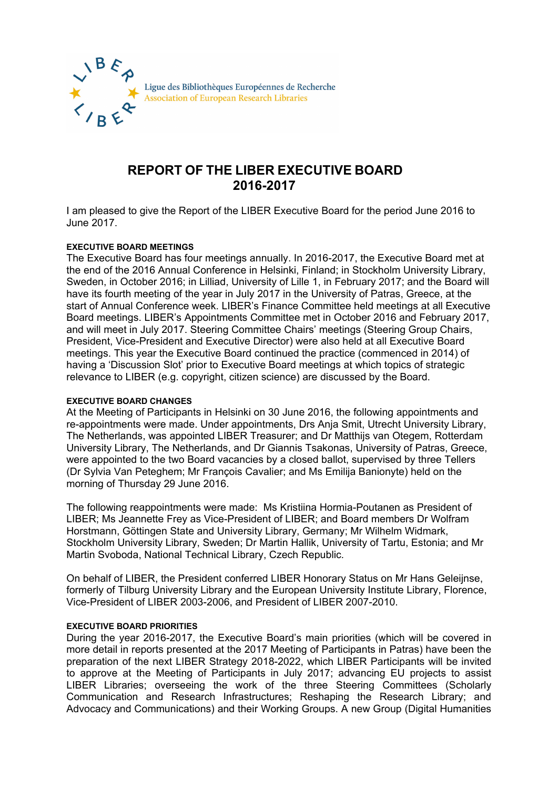

# **REPORT OF THE LIBER EXECUTIVE BOARD 2016-2017**

I am pleased to give the Report of the LIBER Executive Board for the period June 2016 to June 2017.

# **EXECUTIVE BOARD MEETINGS**

The Executive Board has four meetings annually. In 2016-2017, the Executive Board met at the end of the 2016 Annual Conference in Helsinki, Finland; in Stockholm University Library, Sweden, in October 2016; in Lilliad, University of Lille 1, in February 2017; and the Board will have its fourth meeting of the year in July 2017 in the University of Patras, Greece, at the start of Annual Conference week. LIBER's Finance Committee held meetings at all Executive Board meetings. LIBER's Appointments Committee met in October 2016 and February 2017, and will meet in July 2017. Steering Committee Chairs' meetings (Steering Group Chairs, President, Vice-President and Executive Director) were also held at all Executive Board meetings. This year the Executive Board continued the practice (commenced in 2014) of having a 'Discussion Slot' prior to Executive Board meetings at which topics of strategic relevance to LIBER (e.g. copyright, citizen science) are discussed by the Board.

## **EXECUTIVE BOARD CHANGES**

At the Meeting of Participants in Helsinki on 30 June 2016, the following appointments and re-appointments were made. Under appointments, Drs Anja Smit, Utrecht University Library, The Netherlands, was appointed LIBER Treasurer; and Dr Matthijs van Otegem, Rotterdam University Library, The Netherlands, and Dr Giannis Tsakonas, University of Patras, Greece, were appointed to the two Board vacancies by a closed ballot, supervised by three Tellers (Dr Sylvia Van Peteghem; Mr François Cavalier; and Ms Emilija Banionyte) held on the morning of Thursday 29 June 2016.

The following reappointments were made: Ms Kristiina Hormia-Poutanen as President of LIBER; Ms Jeannette Frey as Vice-President of LIBER; and Board members Dr Wolfram Horstmann, Göttingen State and University Library, Germany; Mr Wilhelm Widmark, Stockholm University Library, Sweden; Dr Martin Hallik, University of Tartu, Estonia; and Mr Martin Svoboda, National Technical Library, Czech Republic*.*

On behalf of LIBER, the President conferred LIBER Honorary Status on Mr Hans Geleijnse, formerly of Tilburg University Library and the European University Institute Library, Florence, Vice-President of LIBER 2003-2006, and President of LIBER 2007-2010.

## **EXECUTIVE BOARD PRIORITIES**

During the year 2016-2017, the Executive Board's main priorities (which will be covered in more detail in reports presented at the 2017 Meeting of Participants in Patras) have been the preparation of the next LIBER Strategy 2018-2022, which LIBER Participants will be invited to approve at the Meeting of Participants in July 2017; advancing EU projects to assist LIBER Libraries; overseeing the work of the three Steering Committees (Scholarly Communication and Research Infrastructures; Reshaping the Research Library; and Advocacy and Communications) and their Working Groups. A new Group (Digital Humanities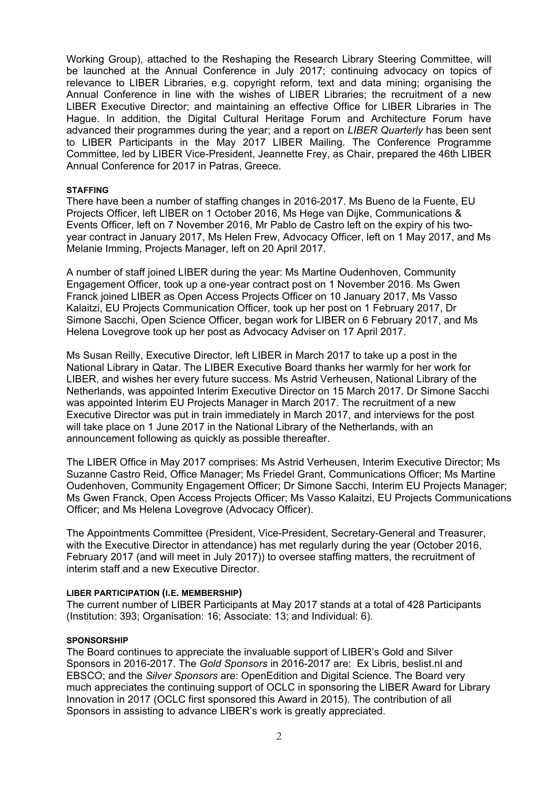Working Group), attached to the Reshaping the Research Library Steering Committee, will be launched at the Annual Conference in July 2017; continuing advocacy on topics of relevance to LIBER Libraries, e.g. copyright reform, text and data mining; organising the Annual Conference in line with the wishes of LIBER Libraries; the recruitment of a new LIBER Executive Director; and maintaining an effective Office for LIBER Libraries in The Hague. In addition, the Digital Cultural Heritage Forum and Architecture Forum have advanced their programmes during the year; and a report on *LIBER Quarterly* has been sent to LIBER Participants in the May 2017 LIBER Mailing. The Conference Programme Committee, led by LIBER Vice-President, Jeannette Frey, as Chair, prepared the 46th LIBER Annual Conference for 2017 in Patras, Greece.

### **STAFFING**

There have been a number of staffing changes in 2016-2017. Ms Bueno de la Fuente, EU Projects Officer, left LIBER on 1 October 2016, Ms Hege van Dijke, Communications & Events Officer, left on 7 November 2016, Mr Pablo de Castro left on the expiry of his twoyear contract in January 2017, Ms Helen Frew, Advocacy Officer, left on 1 May 2017, and Ms Melanie Imming, Projects Manager, left on 20 April 2017.

A number of staff joined LIBER during the year: Ms Martine Oudenhoven, Community Engagement Officer, took up a one-year contract post on 1 November 2016. Ms Gwen Franck joined LIBER as Open Access Projects Officer on 10 January 2017, Ms Vasso Kalaitzi, EU Projects Communication Officer, took up her post on 1 February 2017, Dr Simone Sacchi, Open Science Officer, began work for LIBER on 6 February 2017, and Ms Helena Lovegrove took up her post as Advocacy Adviser on 17 April 2017.

Ms Susan Reilly, Executive Director, left LIBER in March 2017 to take up a post in the National Library in Qatar. The LIBER Executive Board thanks her warmly for her work for LIBER, and wishes her every future success. Ms Astrid Verheusen, National Library of the Netherlands, was appointed Interim Executive Director on 15 March 2017. Dr Simone Sacchi was appointed Interim EU Projects Manager in March 2017. The recruitment of a new Executive Director was put in train immediately in March 2017, and interviews for the post will take place on 1 June 2017 in the National Library of the Netherlands, with an announcement following as quickly as possible thereafter.

The LIBER Office in May 2017 comprises: Ms Astrid Verheusen, Interim Executive Director; Ms Suzanne Castro Reid, Office Manager; Ms Friedel Grant, Communications Officer; Ms Martine Oudenhoven, Community Engagement Officer; Dr Simone Sacchi, Interim EU Projects Manager; Ms Gwen Franck, Open Access Projects Officer; Ms Vasso Kalaitzi, EU Projects Communications Officer; and Ms Helena Lovegrove (Advocacy Officer).

The Appointments Committee (President, Vice-President, Secretary-General and Treasurer, with the Executive Director in attendance) has met regularly during the year (October 2016, February 2017 (and will meet in July 2017)) to oversee staffing matters, the recruitment of interim staff and a new Executive Director.

## **LIBER PARTICIPATION (I.E. MEMBERSHIP)**

The current number of LIBER Participants at May 2017 stands at a total of 428 Participants (Institution: 393; Organisation: 16; Associate: 13; and Individual: 6).

### **SPONSORSHIP**

The Board continues to appreciate the invaluable support of LIBER's Gold and Silver Sponsors in 2016-2017. The *Gold Sponsors* in 2016-2017 are: Ex Libris, beslist.nl and EBSCO; and the *Silver Sponsors* are: OpenEdition and Digital Science. The Board very much appreciates the continuing support of OCLC in sponsoring the LIBER Award for Library Innovation in 2017 (OCLC first sponsored this Award in 2015). The contribution of all Sponsors in assisting to advance LIBER's work is greatly appreciated.